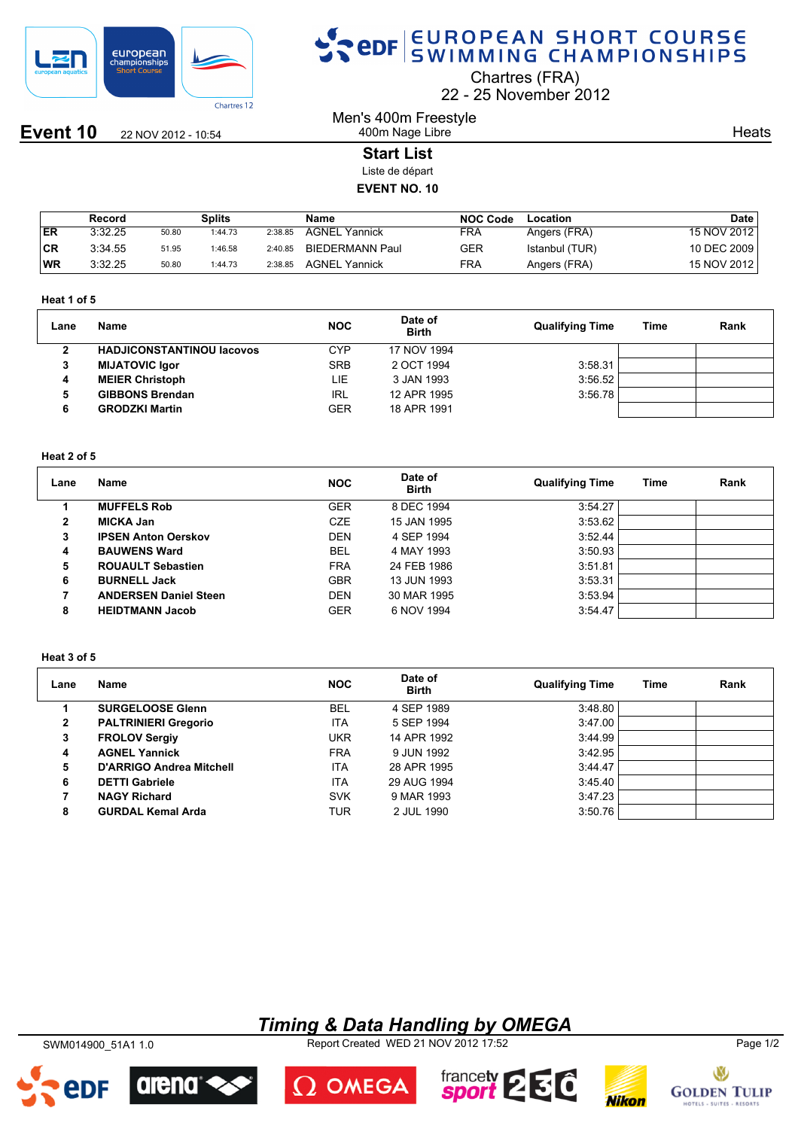

**Event 10** 22 NOV 2012 - 10:54

## SPOR EUROPEAN SHORT COURSE

Chartres (FRA)

22 25 November 2012

Men's 400m Freestyle 400m Nage Libre

**Heats** 

## **Start List**

Liste de départ

## **EVENT NO. 10**

|     | Record  |       | Splits  |         | Name                   | <b>NOC Code</b> | Location       | <b>Date</b> |
|-----|---------|-------|---------|---------|------------------------|-----------------|----------------|-------------|
| ER  | 3:32.25 | 50.80 | 1:44.73 | 2:38.85 | <b>AGNEL Yannick</b>   | FRA             | Angers (FRA)   | 15 NOV 2012 |
| ∣CR | 3:34.55 | 51.95 | 1:46.58 | 2:40.85 | <b>BIEDERMANN Paul</b> | GER             | Istanbul (TUR) | 10 DEC 2009 |
| WR  | 3:32.25 | 50.80 | 1:44.73 | 2:38.85 | <b>AGNEL Yannick</b>   | FRA             | Angers (FRA)   | 15 NOV 2012 |

#### **Heat 1 of 5**

| Lane | Name                             | <b>NOC</b> | Date of<br><b>Birth</b> | <b>Qualifying Time</b> | <b>Time</b> | Rank |
|------|----------------------------------|------------|-------------------------|------------------------|-------------|------|
|      | <b>HADJICONSTANTINOU Iacovos</b> | CYP        | 17 NOV 1994             |                        |             |      |
| 3    | <b>MIJATOVIC Igor</b>            | <b>SRB</b> | 2 OCT 1994              | 3:58.31                |             |      |
| 4    | <b>MEIER Christoph</b>           | LIE        | 3 JAN 1993              | 3:56.52                |             |      |
| 5    | <b>GIBBONS Brendan</b>           | <b>IRL</b> | 12 APR 1995             | 3:56.78                |             |      |
| 6    | <b>GRODZKI Martin</b>            | GER        | 18 APR 1991             |                        |             |      |

### **Heat 2 of 5**

| Lane | Name                         | <b>NOC</b> | Date of<br><b>Birth</b> | <b>Qualifying Time</b> | Time | Rank |
|------|------------------------------|------------|-------------------------|------------------------|------|------|
|      | <b>MUFFELS Rob</b>           | <b>GER</b> | 8 DEC 1994              | 3:54.27                |      |      |
| 2    | <b>MICKA Jan</b>             | <b>CZE</b> | 15 JAN 1995             | 3:53.62                |      |      |
| 3    | <b>IPSEN Anton Oerskov</b>   | <b>DEN</b> | 4 SEP 1994              | 3:52.44                |      |      |
| 4    | <b>BAUWENS Ward</b>          | <b>BEL</b> | 4 MAY 1993              | 3:50.93                |      |      |
| 5    | <b>ROUAULT Sebastien</b>     | <b>FRA</b> | 24 FEB 1986             | 3:51.81                |      |      |
| 6    | <b>BURNELL Jack</b>          | <b>GBR</b> | 13 JUN 1993             | 3:53.31                |      |      |
| 7    | <b>ANDERSEN Daniel Steen</b> | <b>DEN</b> | 30 MAR 1995             | 3:53.94                |      |      |
| 8    | <b>HEIDTMANN Jacob</b>       | <b>GER</b> | 6 NOV 1994              | 3:54.47                |      |      |

#### **Heat 3 of 5**

| Lane | <b>Name</b>                 | <b>NOC</b> | Date of<br><b>Birth</b> | <b>Qualifying Time</b> | Time | Rank |
|------|-----------------------------|------------|-------------------------|------------------------|------|------|
|      | <b>SURGELOOSE Glenn</b>     | <b>BEL</b> | 4 SEP 1989              | 3:48.80                |      |      |
| 2    | <b>PALTRINIERI Gregorio</b> | <b>ITA</b> | 5 SEP 1994              | 3:47.00                |      |      |
| 3    | <b>FROLOV Sergiy</b>        | <b>UKR</b> | 14 APR 1992             | 3:44.99                |      |      |
| 4    | <b>AGNEL Yannick</b>        | <b>FRA</b> | 9 JUN 1992              | 3:42.95                |      |      |
| 5    | D'ARRIGO Andrea Mitchell    | <b>ITA</b> | 28 APR 1995             | 3:44.47                |      |      |
| 6    | <b>DETTI Gabriele</b>       | <b>ITA</b> | 29 AUG 1994             | 3:45.40                |      |      |
|      | <b>NAGY Richard</b>         | <b>SVK</b> | 9 MAR 1993              | 3:47.23                |      |      |
| 8    | <b>GURDAL Kemal Arda</b>    | TUR        | 2 JUL 1990              | 3:50.76                |      |      |

## *Timing & Data Handling by OMEGA*

SWM014900\_51A1 1.0 Report Created WED 21 NOV 2012 17:52 Page 1/2